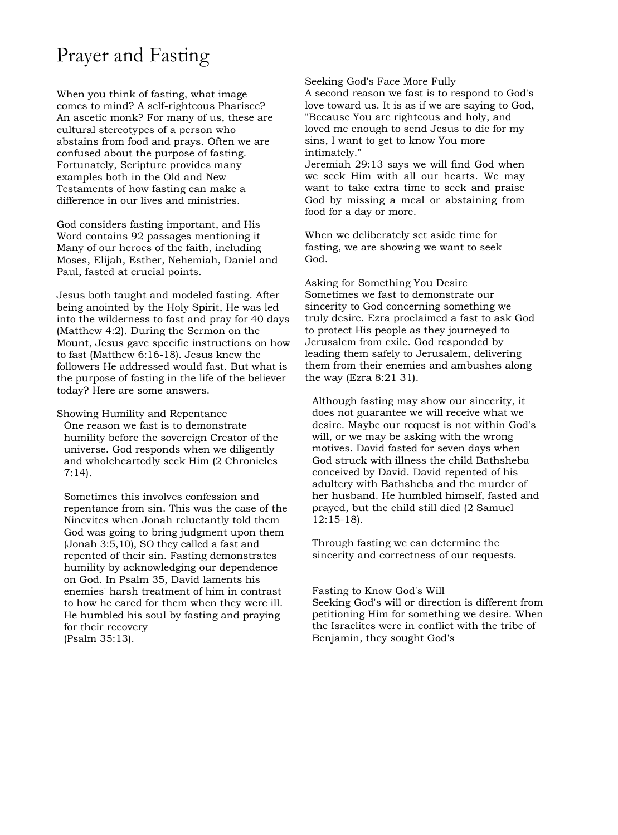# Prayer and Fasting

When you think of fasting, what image comes to mind? A self-righteous Pharisee? An ascetic monk? For many of us, these are cultural stereotypes of a person who abstains from food and prays. Often we are confused about the purpose of fasting. Fortunately, Scripture provides many examples both in the Old and New Testaments of how fasting can make a difference in our lives and ministries.

God considers fasting important, and His Word contains 92 passages mentioning it Many of our heroes of the faith, including Moses, Elijah, Esther, Nehemiah, Daniel and Paul, fasted at crucial points.

Jesus both taught and modeled fasting. After being anointed by the Holy Spirit, He was led into the wilderness to fast and pray for 40 days (Matthew 4:2). During the Sermon on the Mount, Jesus gave specific instructions on how to fast (Matthew 6:16-18). Jesus knew the followers He addressed would fast. But what is the purpose of fasting in the life of the believer today? Here are some answers.

Showing Humility and Repentance One reason we fast is to demonstrate humility before the sovereign Creator of the universe. God responds when we diligently and wholeheartedly seek Him (2 Chronicles 7:14).

Sometimes this involves confession and repentance from sin. This was the case of the Ninevites when Jonah reluctantly told them God was going to bring judgment upon them (Jonah 3:5,10), SO they called a fast and repented of their sin. Fasting demonstrates humility by acknowledging our dependence on God. In Psalm 35, David laments his enemies' harsh treatment of him in contrast to how he cared for them when they were ill. He humbled his soul by fasting and praying for their recovery (Psalm 35:13).

### Seeking God's Face More Fully

A second reason we fast is to respond to God's love toward us. It is as if we are saying to God, "Because You are righteous and holy, and loved me enough to send Jesus to die for my sins, I want to get to know You more intimately."

Jeremiah 29:13 says we will find God when we seek Him with all our hearts. We may want to take extra time to seek and praise God by missing a meal or abstaining from food for a day or more.

When we deliberately set aside time for fasting, we are showing we want to seek God.

Asking for Something You Desire Sometimes we fast to demonstrate our sincerity to God concerning something we truly desire. Ezra proclaimed a fast to ask God to protect His people as they journeyed to Jerusalem from exile. God responded by leading them safely to Jerusalem, delivering them from their enemies and ambushes along the way (Ezra 8:21 31).

Although fasting may show our sincerity, it does not guarantee we will receive what we desire. Maybe our request is not within God's will, or we may be asking with the wrong motives. David fasted for seven days when God struck with illness the child Bathsheba conceived by David. David repented of his adultery with Bathsheba and the murder of her husband. He humbled himself, fasted and prayed, but the child still died (2 Samuel 12:15-18).

Through fasting we can determine the sincerity and correctness of our requests.

### Fasting to Know God's Will

Seeking God's will or direction is different from petitioning Him for something we desire. When the Israelites were in conflict with the tribe of Benjamin, they sought God's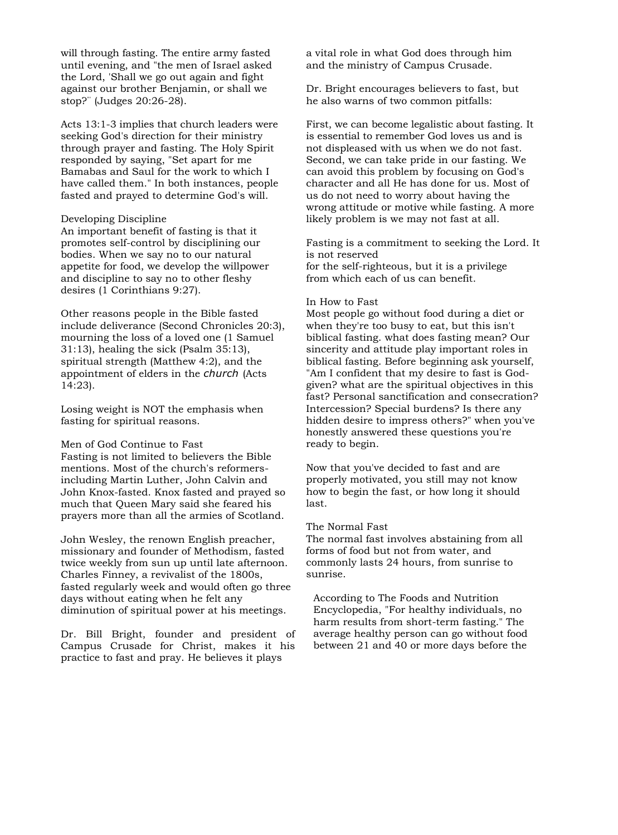will through fasting. The entire army fasted until evening, and "the men of Israel asked the Lord, 'Shall we go out again and fight against our brother Benjamin, or shall we stop?"' (Judges 20:26-28).

Acts 13:1-3 implies that church leaders were seeking God's direction for their ministry through prayer and fasting. The Holy Spirit responded by saying, "Set apart for me Bamabas and Saul for the work to which I have called them." In both instances, people fasted and prayed to determine God's will.

### Developing Discipline

An important benefit of fasting is that it promotes self-control by disciplining our bodies. When we say no to our natural appetite for food, we develop the willpower and discipline to say no to other fleshy desires (1 Corinthians 9:27).

Other reasons people in the Bible fasted include deliverance (Second Chronicles 20:3), mourning the loss of a loved one (1 Samuel 31:13), healing the sick (Psalm 35:13), spiritual strength (Matthew 4:2), and the appointment of elders in the *church* (Acts 14:23).

Losing weight is NOT the emphasis when fasting for spiritual reasons.

### Men of God Continue to Fast

Fasting is not limited to believers the Bible mentions. Most of the church's reformersincluding Martin Luther, John Calvin and John Knox-fasted. Knox fasted and prayed so much that Queen Mary said she feared his prayers more than all the armies of Scotland.

John Wesley, the renown English preacher, missionary and founder of Methodism, fasted twice weekly from sun up until late afternoon. Charles Finney, a revivalist of the 1800s, fasted regularly week and would often go three days without eating when he felt any diminution of spiritual power at his meetings.

Dr. Bill Bright, founder and president of Campus Crusade for Christ, makes it his practice to fast and pray. He believes it plays

a vital role in what God does through him and the ministry of Campus Crusade.

Dr. Bright encourages believers to fast, but he also warns of two common pitfalls:

First, we can become legalistic about fasting. It is essential to remember God loves us and is not displeased with us when we do not fast. Second, we can take pride in our fasting. We can avoid this problem by focusing on God's character and all He has done for us. Most of us do not need to worry about having the wrong attitude or motive while fasting. A more likely problem is we may not fast at all.

Fasting is a commitment to seeking the Lord. It is not reserved for the self-righteous, but it is a privilege from which each of us can benefit.

## In How to Fast

Most people go without food during a diet or when they're too busy to eat, but this isn't biblical fasting. what does fasting mean? Our sincerity and attitude play important roles in biblical fasting. Before beginning ask yourself, "Am I confident that my desire to fast is Godgiven? what are the spiritual objectives in this fast? Personal sanctification and consecration? Intercession? Special burdens? Is there any hidden desire to impress others?" when you've honestly answered these questions you're ready to begin.

Now that you've decided to fast and are properly motivated, you still may not know how to begin the fast, or how long it should last.

## The Normal Fast

The normal fast involves abstaining from all forms of food but not from water, and commonly lasts 24 hours, from sunrise to sunrise.

According to The Foods and Nutrition Encyclopedia, "For healthy individuals, no harm results from short-term fasting." The average healthy person can go without food between 21 and 40 or more days before the